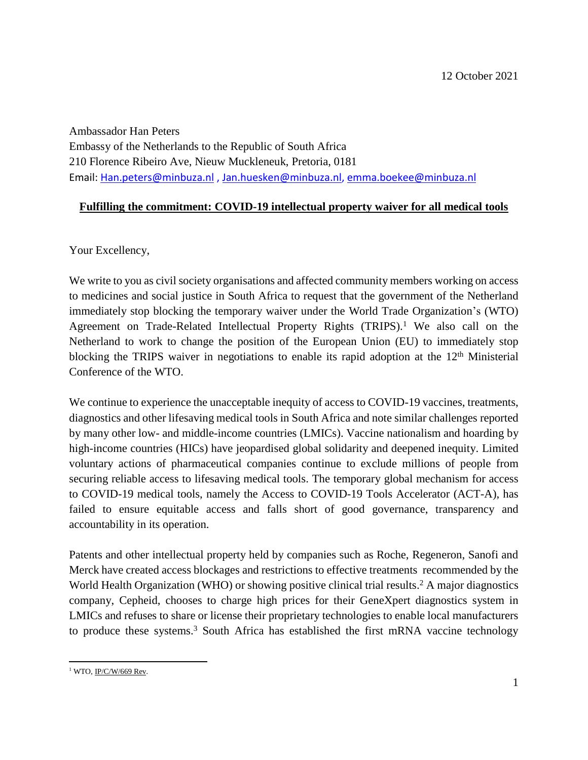Ambassador Han Peters Embassy of the Netherlands to the Republic of South Africa 210 Florence Ribeiro Ave, Nieuw Muckleneuk, Pretoria, 0181

Email: [Han.peters@minbuza.nl](mailto:Han.peters@minbuza.nl) , [Jan.huesken@minbuza.nl,](mailto:Jan.huesken@minbuza.nl) [emma.boekee@minbuza.nl](mailto:emma.boekee@minbuza.nl)

## **Fulfilling the commitment: COVID-19 intellectual property waiver for all medical tools**

Your Excellency,

We write to you as civil society organisations and affected community members working on access to medicines and social justice in South Africa to request that the government of the Netherland immediately stop blocking the temporary waiver under the World Trade Organization's (WTO) Agreement on Trade-Related Intellectual Property Rights (TRIPS).<sup>1</sup> We also call on the Netherland to work to change the position of the European Union (EU) to immediately stop blocking the TRIPS waiver in negotiations to enable its rapid adoption at the  $12<sup>th</sup>$  Ministerial Conference of the WTO.

We continue to experience the unacceptable inequity of access to COVID-19 vaccines, treatments, diagnostics and other lifesaving medical tools in South Africa and note similar challenges reported by many other low- and middle-income countries (LMICs). Vaccine nationalism and hoarding by high-income countries (HICs) have jeopardised global solidarity and deepened inequity. Limited voluntary actions of pharmaceutical companies continue to exclude millions of people from securing reliable access to lifesaving medical tools. The temporary global mechanism for access to COVID-19 medical tools, namely the Access to COVID-19 Tools Accelerator (ACT-A), has failed to ensure equitable access and falls short of good governance, transparency and accountability in its operation.

Patents and other intellectual property held by companies such as Roche, Regeneron, Sanofi and Merck have created access blockages and restrictions to effective treatments recommended by the World Health Organization (WHO) or showing positive clinical trial results. <sup>2</sup> A major diagnostics company, Cepheid, chooses to charge high prices for their GeneXpert diagnostics system in LMICs and refuses to share or license their proprietary technologies to enable local manufacturers to produce these systems. <sup>3</sup> South Africa has established the first mRNA vaccine technology

 $\overline{\phantom{a}}$ <sup>1</sup> WTO, <u>IP/C/W/669 Rev</u>.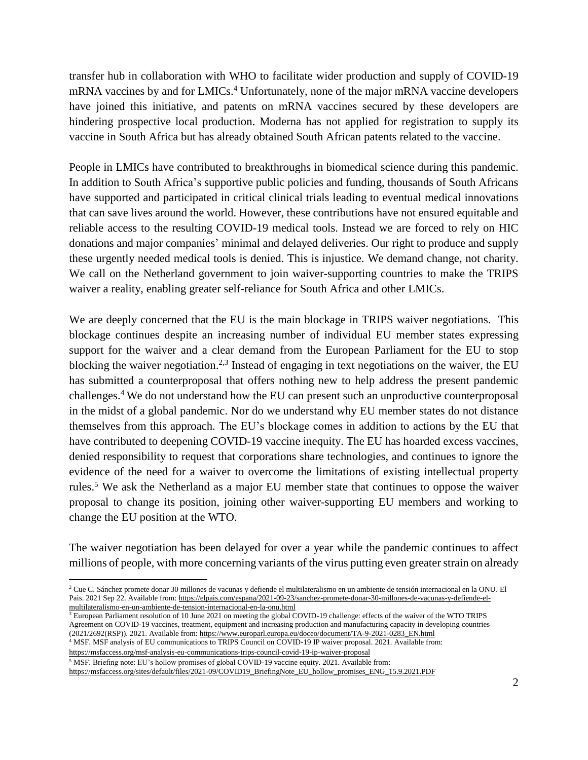transfer hub in collaboration with WHO to facilitate wider production and supply of COVID-19 mRNA vaccines by and for LMICs. <sup>4</sup> Unfortunately, none of the major mRNA vaccine developers have joined this initiative, and patents on mRNA vaccines secured by these developers are hindering prospective local production. Moderna has not applied for registration to supply its vaccine in South Africa but has already obtained South African patents related to the vaccine.

People in LMICs have contributed to breakthroughs in biomedical science during this pandemic. In addition to South Africa's supportive public policies and funding, thousands of South Africans have supported and participated in critical clinical trials leading to eventual medical innovations that can save lives around the world. However, these contributions have not ensured equitable and reliable access to the resulting COVID-19 medical tools. Instead we are forced to rely on HIC donations and major companies' minimal and delayed deliveries. Our right to produce and supply these urgently needed medical tools is denied. This is injustice. We demand change, not charity. We call on the Netherland government to join waiver-supporting countries to make the TRIPS waiver a reality, enabling greater self-reliance for South Africa and other LMICs.

We are deeply concerned that the EU is the main blockage in TRIPS waiver negotiations. This blockage continues despite an increasing number of individual EU member states expressing support for the waiver and a clear demand from the European Parliament for the EU to stop blocking the waiver negotiation.<sup>2,3</sup> Instead of engaging in text negotiations on the waiver, the EU has submitted a counterproposal that offers nothing new to help address the present pandemic challenges.<sup>4</sup> We do not understand how the EU can present such an unproductive counterproposal in the midst of a global pandemic. Nor do we understand why EU member states do not distance themselves from this approach. The EU's blockage comes in addition to actions by the EU that have contributed to deepening COVID-19 vaccine inequity. The EU has hoarded excess vaccines, denied responsibility to request that corporations share technologies, and continues to ignore the evidence of the need for a waiver to overcome the limitations of existing intellectual property rules.<sup>5</sup> We ask the Netherland as a major EU member state that continues to oppose the waiver proposal to change its position, joining other waiver-supporting EU members and working to change the EU position at the WTO.

The waiver negotiation has been delayed for over a year while the pandemic continues to affect millions of people, with more concerning variants of the virus putting even greater strain on already

 $3$  European Parliament resolution of 10 June 2021 on meeting the global COVID-19 challenge: effects of the waiver of the WTO TRIPS Agreement on COVID-19 vaccines, treatment, equipment and increasing production and manufacturing capacity in developing countries (2021/2692(RSP)). 2021. Available from: [https://www.europarl.europa.eu/doceo/document/TA-9-2021-0283\\_EN.html](https://www.europarl.europa.eu/doceo/document/TA-9-2021-0283_EN.html)

<sup>4</sup> MSF. MSF analysis of EU communications to TRIPS Council on COVID-19 IP waiver proposal. 2021. Available from:

<https://msfaccess.org/msf-analysis-eu-communications-trips-council-covid-19-ip-waiver-proposal> <sup>5</sup> MSF. Briefing note: EU's hollow promises of global COVID-19 vaccine equity. 2021. Available from:

 $\overline{\phantom{a}}$ 

[https://msfaccess.org/sites/default/files/2021-09/COVID19\\_BriefingNote\\_EU\\_hollow\\_promises\\_ENG\\_15.9.2021.PDF](https://msfaccess.org/sites/default/files/2021-09/COVID19_BriefingNote_EU_hollow_promises_ENG_15.9.2021.PDF)

<sup>2</sup> Cue C. Sánchez promete donar 30 millones de vacunas y defiende el multilateralismo en un ambiente de tensión internacional en la ONU. El Pais. 2021 Sep 22. Available from[: https://elpais.com/espana/2021-09-23/sanchez-promete-donar-30-millones-de-vacunas-y-defiende-el](https://elpais.com/espana/2021-09-23/sanchez-promete-donar-30-millones-de-vacunas-y-defiende-el-multilateralismo-en-un-ambiente-de-tension-internacional-en-la-onu.html)[multilateralismo-en-un-ambiente-de-tension-internacional-en-la-onu.html](https://elpais.com/espana/2021-09-23/sanchez-promete-donar-30-millones-de-vacunas-y-defiende-el-multilateralismo-en-un-ambiente-de-tension-internacional-en-la-onu.html)